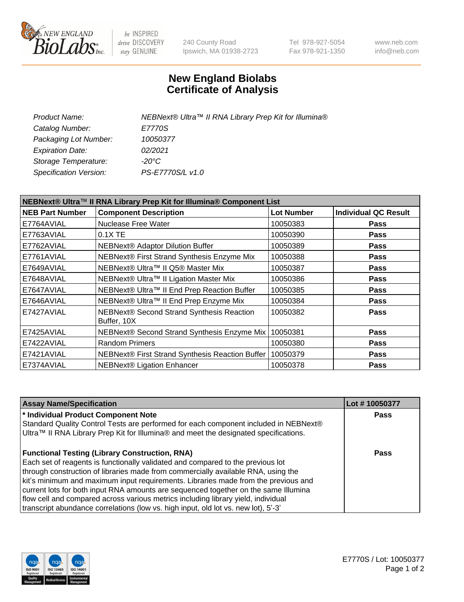

 $be$  INSPIRED drive DISCOVERY stay GENUINE

240 County Road Ipswich, MA 01938-2723 Tel 978-927-5054 Fax 978-921-1350 www.neb.com info@neb.com

## **New England Biolabs Certificate of Analysis**

| NEBNext® Ultra™ II RNA Library Prep Kit for Illumina® Component List |                                                            |                   |                             |  |
|----------------------------------------------------------------------|------------------------------------------------------------|-------------------|-----------------------------|--|
| <b>NEB Part Number</b>                                               | <b>Component Description</b>                               | <b>Lot Number</b> | <b>Individual QC Result</b> |  |
| E7764AVIAL                                                           | Nuclease Free Water                                        | 10050383          | <b>Pass</b>                 |  |
| E7763AVIAL                                                           | 0.1X TE                                                    | 10050390          | <b>Pass</b>                 |  |
| E7762AVIAL                                                           | <b>NEBNext® Adaptor Dilution Buffer</b>                    | 10050389          | <b>Pass</b>                 |  |
| E7761AVIAL                                                           | NEBNext® First Strand Synthesis Enzyme Mix                 | 10050388          | <b>Pass</b>                 |  |
| E7649AVIAL                                                           | NEBNext® Ultra™ II Q5® Master Mix                          | 10050387          | <b>Pass</b>                 |  |
| E7648AVIAL                                                           | NEBNext® Ultra™ II Ligation Master Mix                     | 10050386          | <b>Pass</b>                 |  |
| E7647AVIAL                                                           | NEBNext® Ultra™ II End Prep Reaction Buffer                | 10050385          | <b>Pass</b>                 |  |
| E7646AVIAL                                                           | NEBNext® Ultra™ II End Prep Enzyme Mix                     | 10050384          | <b>Pass</b>                 |  |
| E7427AVIAL                                                           | NEBNext® Second Strand Synthesis Reaction<br>Buffer, 10X   | 10050382          | <b>Pass</b>                 |  |
| E7425AVIAL                                                           | NEBNext® Second Strand Synthesis Enzyme Mix                | 10050381          | <b>Pass</b>                 |  |
| E7422AVIAL                                                           | <b>Random Primers</b>                                      | 10050380          | <b>Pass</b>                 |  |
| E7421AVIAL                                                           | NEBNext® First Strand Synthesis Reaction Buffer   10050379 |                   | <b>Pass</b>                 |  |
| E7374AVIAL                                                           | NEBNext® Ligation Enhancer                                 | 10050378          | <b>Pass</b>                 |  |

| <b>Assay Name/Specification</b>                                                      | Lot #10050377 |
|--------------------------------------------------------------------------------------|---------------|
| * Individual Product Component Note                                                  | Pass          |
| Standard Quality Control Tests are performed for each component included in NEBNext® |               |
| Ultra™ II RNA Library Prep Kit for Illumina® and meet the designated specifications. |               |
| <b>Functional Testing (Library Construction, RNA)</b>                                | Pass          |
| Each set of reagents is functionally validated and compared to the previous lot      |               |
| through construction of libraries made from commercially available RNA, using the    |               |
| kit's minimum and maximum input requirements. Libraries made from the previous and   |               |
| current lots for both input RNA amounts are sequenced together on the same Illumina  |               |
| flow cell and compared across various metrics including library yield, individual    |               |
| transcript abundance correlations (low vs. high input, old lot vs. new lot), 5'-3'   |               |